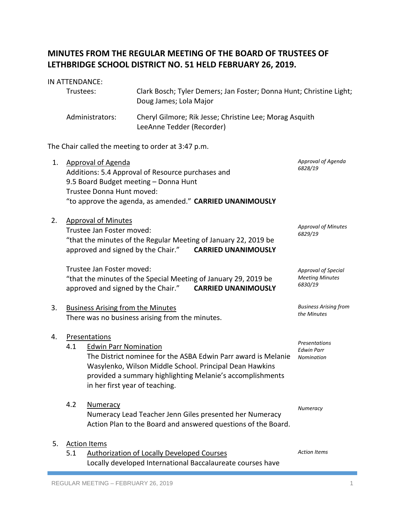# **MINUTES FROM THE REGULAR MEETING OF THE BOARD OF TRUSTEES OF LETHBRIDGE SCHOOL DISTRICT NO. 51 HELD FEBRUARY 26, 2019.**

# IN ATTENDANCE: Trustees: Clark Bosch; Tyler Demers; Jan Foster; Donna Hunt; Christine Light; Doug James; Lola Major Administrators: Cheryl Gilmore; Rik Jesse; Christine Lee; Morag Asquith LeeAnne Tedder (Recorder)

The Chair called the meeting to order at 3:47 p.m.

| 1. |     | <b>Approval of Agenda</b><br>Additions: 5.4 Approval of Resource purchases and<br>9.5 Board Budget meeting - Donna Hunt<br>Trustee Donna Hunt moved:<br>"to approve the agenda, as amended." CARRIED UNANIMOUSLY                                                         | Approval of Agenda<br>6828/19                            |
|----|-----|--------------------------------------------------------------------------------------------------------------------------------------------------------------------------------------------------------------------------------------------------------------------------|----------------------------------------------------------|
| 2. |     | <b>Approval of Minutes</b><br>Trustee Jan Foster moved:<br>"that the minutes of the Regular Meeting of January 22, 2019 be<br>approved and signed by the Chair." CARRIED UNANIMOUSLY                                                                                     | <b>Approval of Minutes</b><br>6829/19                    |
|    |     | Trustee Jan Foster moved:<br>"that the minutes of the Special Meeting of January 29, 2019 be<br>approved and signed by the Chair."<br><b>CARRIED UNANIMOUSLY</b>                                                                                                         | Approval of Special<br><b>Meeting Minutes</b><br>6830/19 |
| 3. |     | <b>Business Arising from the Minutes</b><br>There was no business arising from the minutes.                                                                                                                                                                              | <b>Business Arising from</b><br>the Minutes              |
| 4. | 4.1 | Presentations<br><b>Edwin Parr Nomination</b><br>The District nominee for the ASBA Edwin Parr award is Melanie<br>Wasylenko, Wilson Middle School. Principal Dean Hawkins<br>provided a summary highlighting Melanie's accomplishments<br>in her first year of teaching. | Presentations<br><b>Edwin Parr</b><br>Nomination         |
|    | 4.2 | Numeracy<br>Numeracy Lead Teacher Jenn Giles presented her Numeracy<br>Action Plan to the Board and answered questions of the Board.                                                                                                                                     | Numeracy                                                 |
| 5. | 5.1 | <b>Action Items</b><br><b>Authorization of Locally Developed Courses</b><br>Locally developed International Baccalaureate courses have                                                                                                                                   | <b>Action Items</b>                                      |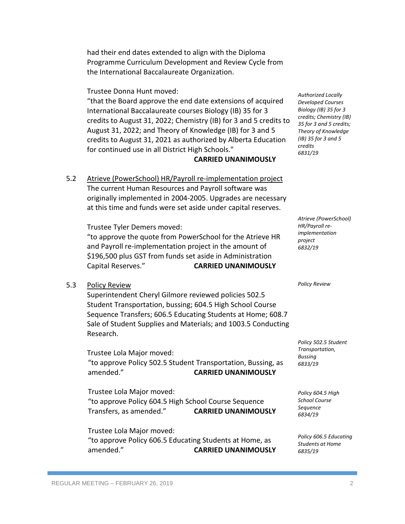had their end dates extended to align with the Diploma Programme Curriculum Development and Review Cycle from the International Baccalaureate Organization.

Trustee Donna Hunt moved:

"that the Board approve the end date extensions of acquired International Baccalaureate courses Biology (IB) 35 for 3 credits to August 31, 2022; Chemistry (IB) for 3 and 5 credits to August 31, 2022; and Theory of Knowledge (IB) for 3 and 5 credits to August 31, 2021 as authorized by Alberta Education for continued use in all District High Schools."

# **CARRIED UNANIMOUSLY**

5.2 Atrieve (PowerSchool) HR/Payroll re-implementation project The current Human Resources and Payroll software was originally implemented in 2004-2005. Upgrades are necessary at this time and funds were set aside under capital reserves.

Trustee Tyler Demers moved:

"to approve the quote from PowerSchool for the Atrieve HR and Payroll re-implementation project in the amount of \$196,500 plus GST from funds set aside in Administration Capital Reserves." **CARRIED UNANIMOUSLY**

# 5.3 Policy Review

Superintendent Cheryl Gilmore reviewed policies 502.5 Student Transportation, bussing; 604.5 High School Course Sequence Transfers; 606.5 Educating Students at Home; 608.7 Sale of Student Supplies and Materials; and 1003.5 Conducting Research.

Trustee Lola Major moved: "to approve Policy 502.5 Student Transportation, Bussing, as amended." **CARRIED UNANIMOUSLY**

Trustee Lola Major moved: "to approve Policy 604.5 High School Course Sequence Transfers, as amended." **CARRIED UNANIMOUSLY**

Trustee Lola Major moved: "to approve Policy 606.5 Educating Students at Home, as amended." **CARRIED UNANIMOUSLY**

*Authorized Locally Developed Courses Biology (IB) 35 for 3 credits; Chemistry (IB) 35 for 3 and 5 credits; Theory of Knowledge (IB) 35 for 3 and 5 credits 6831/19*

*Atrieve (PowerSchool) HR/Payroll reimplementation project 6832/19*

*Policy Review*

*Policy 502.5 Student Transportation, Bussing 6833/19*

*Policy 604.5 High School Course Sequence 6834/19*

*Policy 606.5 Educating Students at Home 6835/19*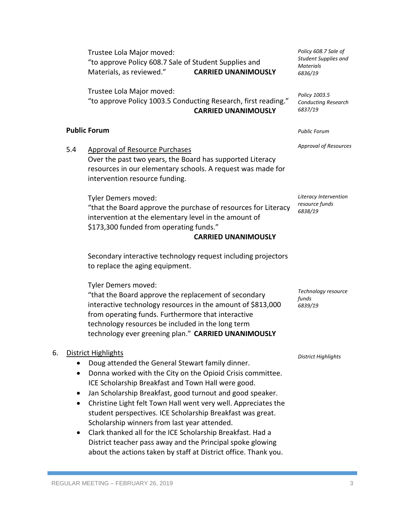Trustee Lola Major moved: "to approve Policy 608.7 Sale of Student Supplies and Materials, as reviewed." **CARRIED UNANIMOUSLY**

Trustee Lola Major moved: "to approve Policy 1003.5 Conducting Research, first reading." **CARRIED UNANIMOUSLY**

# **Public Forum**

5.4 Approval of Resource Purchases Over the past two years, the Board has supported Literacy resources in our elementary schools. A request was made for intervention resource funding.

Tyler Demers moved: "that the Board approve the purchase of resources for Literacy intervention at the elementary level in the amount of \$173,300 funded from operating funds."

#### **CARRIED UNANIMOUSLY**

Secondary interactive technology request including projectors to replace the aging equipment.

Tyler Demers moved:

"that the Board approve the replacement of secondary interactive technology resources in the amount of \$813,000 from operating funds. Furthermore that interactive technology resources be included in the long term technology ever greening plan." **CARRIED UNANIMOUSLY**

# 6. District Highlights

- Doug attended the General Stewart family dinner.
- Donna worked with the City on the Opioid Crisis committee. ICE Scholarship Breakfast and Town Hall were good.
- Jan Scholarship Breakfast, good turnout and good speaker.
- Christine Light felt Town Hall went very well. Appreciates the student perspectives. ICE Scholarship Breakfast was great. Scholarship winners from last year attended.
- Clark thanked all for the ICE Scholarship Breakfast. Had a District teacher pass away and the Principal spoke glowing about the actions taken by staff at District office. Thank you.

*Policy 608.7 Sale of Student Supplies and Materials 6836/19*

*Policy 1003.5 Conducting Research 6837/19*

*Public Forum*

*Approval of Resources*

*Literacy Intervention resource funds 6838/19*

*funds 6839/19*

*Technology resource*

*District Highlights*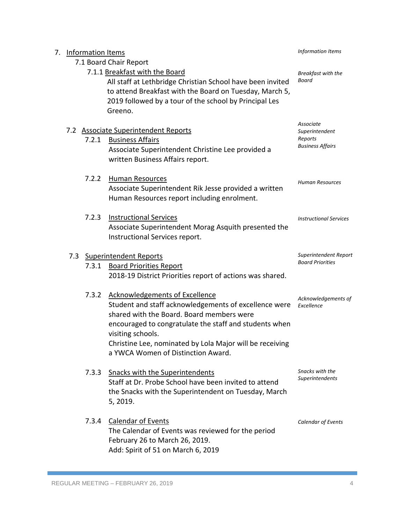| 7. | <b>Information Items</b> | Information Items                                                                                                                                                                                                                                                                                                            |                                    |
|----|--------------------------|------------------------------------------------------------------------------------------------------------------------------------------------------------------------------------------------------------------------------------------------------------------------------------------------------------------------------|------------------------------------|
|    | 7.1 Board Chair Report   |                                                                                                                                                                                                                                                                                                                              |                                    |
|    |                          | 7.1.1 Breakfast with the Board<br>All staff at Lethbridge Christian School have been invited<br>to attend Breakfast with the Board on Tuesday, March 5,<br>2019 followed by a tour of the school by Principal Les<br>Greeno.                                                                                                 | Breakfast with the<br>Board        |
|    |                          | 7.2 Associate Superintendent Reports                                                                                                                                                                                                                                                                                         | Associate<br>Superintendent        |
|    | 7.2.1                    | <b>Business Affairs</b><br>Associate Superintendent Christine Lee provided a<br>written Business Affairs report.                                                                                                                                                                                                             | Reports<br><b>Business Affairs</b> |
|    | 7.2.2                    | <b>Human Resources</b><br>Associate Superintendent Rik Jesse provided a written<br>Human Resources report including enrolment.                                                                                                                                                                                               | <b>Human Resources</b>             |
|    | 7.2.3                    | <b>Instructional Services</b><br>Associate Superintendent Morag Asquith presented the<br>Instructional Services report.                                                                                                                                                                                                      | <b>Instructional Services</b>      |
|    | 7.3                      | <b>Superintendent Reports</b>                                                                                                                                                                                                                                                                                                | Superintendent Report              |
|    | 7.3.1                    | <b>Board Priorities Report</b><br>2018-19 District Priorities report of actions was shared.                                                                                                                                                                                                                                  | <b>Board Priorities</b>            |
|    | 7.3.2                    | <b>Acknowledgements of Excellence</b><br>Student and staff acknowledgements of excellence were<br>shared with the Board. Board members were<br>encouraged to congratulate the staff and students when<br>visiting schools.<br>Christine Lee, nominated by Lola Major will be receiving<br>a YWCA Women of Distinction Award. | Acknowledgements of<br>Excellence  |
|    | 7.3.3                    | <b>Snacks with the Superintendents</b><br>Staff at Dr. Probe School have been invited to attend<br>the Snacks with the Superintendent on Tuesday, March<br>5, 2019.                                                                                                                                                          | Snacks with the<br>Superintendents |
|    | 7.3.4                    | <b>Calendar of Events</b><br>The Calendar of Events was reviewed for the period<br>February 26 to March 26, 2019.<br>Add: Spirit of 51 on March 6, 2019                                                                                                                                                                      | Calendar of Events                 |